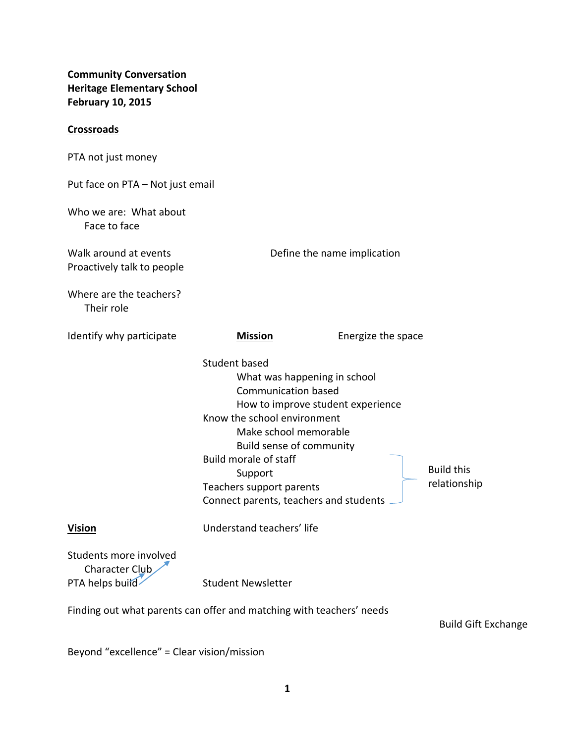**Community Conversation Heritage Elementary School February 10, 2015**

## **Crossroads**

| PTA not just money                                                   |                                                                                                                                                                                                                                           |                                                                   |                                   |
|----------------------------------------------------------------------|-------------------------------------------------------------------------------------------------------------------------------------------------------------------------------------------------------------------------------------------|-------------------------------------------------------------------|-----------------------------------|
| Put face on PTA - Not just email                                     |                                                                                                                                                                                                                                           |                                                                   |                                   |
| Who we are: What about<br>Face to face                               |                                                                                                                                                                                                                                           |                                                                   |                                   |
| Walk around at events<br>Proactively talk to people                  | Define the name implication                                                                                                                                                                                                               |                                                                   |                                   |
| Where are the teachers?<br>Their role                                |                                                                                                                                                                                                                                           |                                                                   |                                   |
| Identify why participate                                             | <b>Mission</b>                                                                                                                                                                                                                            | Energize the space                                                |                                   |
|                                                                      | Student based<br><b>Communication based</b><br>Know the school environment<br>Make school memorable<br>Build sense of community<br>Build morale of staff<br>Support<br>Teachers support parents<br>Connect parents, teachers and students | What was happening in school<br>How to improve student experience | <b>Build this</b><br>relationship |
| <b>Vision</b>                                                        | Understand teachers' life                                                                                                                                                                                                                 |                                                                   |                                   |
| Students more involved<br>Character Club<br>PTA helps build          | <b>Student Newsletter</b>                                                                                                                                                                                                                 |                                                                   |                                   |
| Finding out what parents can offer and matching with teachers' needs |                                                                                                                                                                                                                                           |                                                                   | <b>Build Gift Exchange</b>        |

Beyond "excellence" = Clear vision/mission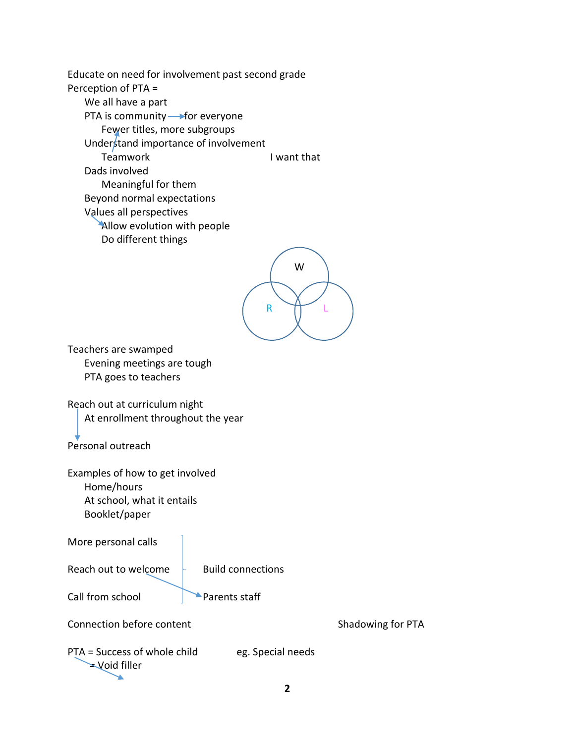Educate on need for involvement past second grade Perception of PTA = We all have a part PTA is community **-**for everyone Fewer titles, more subgroups Understand importance of involvement Teamwork I want that Dads involved Meaningful for them Beyond normal expectations Values all perspectives Allow evolution with people Do different things W R T L Teachers are swamped Evening meetings are tough PTA goes to teachers Reach out at curriculum night At enrollment throughout the year Personal outreach Examples of how to get involved Home/hours At school, what it entails Booklet/paper More personal calls Reach out to welcome  $\overline{a}$  Build connections Call from school **Parents staff** Connection before content 
Shadowing for PTA PTA = Success of whole child eg. Special needs = Void filler